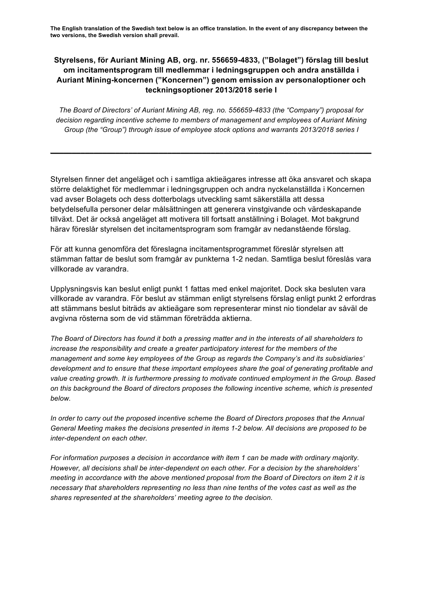**The English translation of the Swedish text below is an office translation. In the event of any discrepancy between the two versions, the Swedish version shall prevail.**

# **Styrelsens, för Auriant Mining AB, org. nr. 556659-4833, ("Bolaget") förslag till beslut om incitamentsprogram till medlemmar i ledningsgruppen och andra anställda i Auriant Mining-koncernen ("Koncernen") genom emission av personaloptioner och teckningsoptioner 2013/2018 serie I**

*The Board of Directors' of Auriant Mining AB, reg. no. 556659-4833 (the "Company") proposal for decision regarding incentive scheme to members of management and employees of Auriant Mining Group (the "Group") through issue of employee stock options and warrants 2013/2018 series I*

**\_\_\_\_\_\_\_\_\_\_\_\_\_\_\_\_\_\_\_\_\_\_\_\_\_\_\_\_\_\_\_\_\_\_\_\_\_\_\_\_\_\_\_\_\_\_\_\_\_\_\_\_\_\_\_\_\_\_\_\_\_\_\_\_\_\_\_\_\_\_\_\_\_\_**

Styrelsen finner det angeläget och i samtliga aktieägares intresse att öka ansvaret och skapa större delaktighet för medlemmar i ledningsgruppen och andra nyckelanställda i Koncernen vad avser Bolagets och dess dotterbolags utveckling samt säkerställa att dessa betydelsefulla personer delar målsättningen att generera vinstgivande och värdeskapande tillväxt. Det är också angeläget att motivera till fortsatt anställning i Bolaget. Mot bakgrund härav föreslår styrelsen det incitamentsprogram som framgår av nedanstående förslag.

För att kunna genomföra det föreslagna incitamentsprogrammet föreslår styrelsen att stämman fattar de beslut som framgår av punkterna 1-2 nedan. Samtliga beslut föreslås vara villkorade av varandra.

Upplysningsvis kan beslut enligt punkt 1 fattas med enkel majoritet. Dock ska besluten vara villkorade av varandra. För beslut av stämman enligt styrelsens förslag enligt punkt 2 erfordras att stämmans beslut biträds av aktieägare som representerar minst nio tiondelar av såväl de avgivna rösterna som de vid stämman företrädda aktierna.

*The Board of Directors has found it both a pressing matter and in the interests of all shareholders to increase the responsibility and create a greater participatory interest for the members of the management and some key employees of the Group as regards the Company's and its subsidiaries' development and to ensure that these important employees share the goal of generating profitable and value creating growth. It is furthermore pressing to motivate continued employment in the Group. Based on this background the Board of directors proposes the following incentive scheme, which is presented below.*

*In order to carry out the proposed incentive scheme the Board of Directors proposes that the Annual General Meeting makes the decisions presented in items 1-2 below. All decisions are proposed to be inter-dependent on each other.*

*For information purposes a decision in accordance with item 1 can be made with ordinary majority. However, all decisions shall be inter-dependent on each other. For a decision by the shareholders' meeting in accordance with the above mentioned proposal from the Board of Directors on item 2 it is necessary that shareholders representing no less than nine tenths of the votes cast as well as the shares represented at the shareholders' meeting agree to the decision.*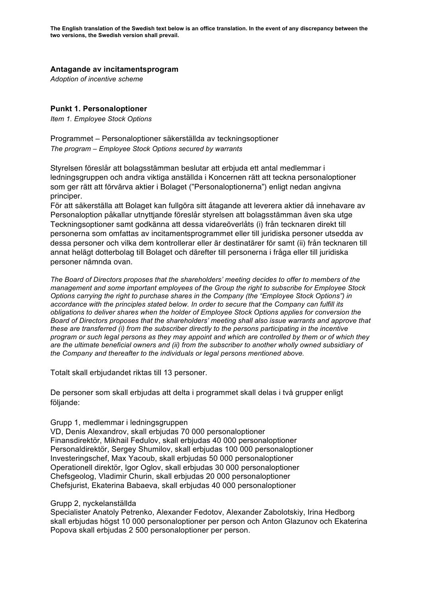## **Antagande av incitamentsprogram**

*Adoption of incentive scheme*

## **Punkt 1. Personaloptioner**

*Item 1. Employee Stock Options*

Programmet – Personaloptioner säkerställda av teckningsoptioner *The program – Employee Stock Options secured by warrants*

Styrelsen föreslår att bolagsstämman beslutar att erbjuda ett antal medlemmar i ledningsgruppen och andra viktiga anställda i Koncernen rätt att teckna personaloptioner som ger rätt att förvärva aktier i Bolaget ("Personaloptionerna") enligt nedan angivna principer.

För att säkerställa att Bolaget kan fullgöra sitt åtagande att leverera aktier då innehavare av Personaloption påkallar utnyttjande föreslår styrelsen att bolagsstämman även ska utge Teckningsoptioner samt godkänna att dessa vidareöverlåts (i) från tecknaren direkt till personerna som omfattas av incitamentsprogrammet eller till juridiska personer utsedda av dessa personer och vilka dem kontrollerar eller är destinatärer för samt (ii) från tecknaren till annat helägt dotterbolag till Bolaget och därefter till personerna i fråga eller till juridiska personer nämnda ovan.

*The Board of Directors proposes that the shareholders' meeting decides to offer to members of the management and some important employees of the Group the right to subscribe for Employee Stock Options carrying the right to purchase shares in the Company (the "Employee Stock Options") in accordance with the principles stated below. In order to secure that the Company can fulfill its obligations to deliver shares when the holder of Employee Stock Options applies for conversion the Board of Directors proposes that the shareholders' meeting shall also issue warrants and approve that these are transferred (i) from the subscriber directly to the persons participating in the incentive program or such legal persons as they may appoint and which are controlled by them or of which they are the ultimate beneficial owners and (ii) from the subscriber to another wholly owned subsidiary of the Company and thereafter to the individuals or legal persons mentioned above.*

Totalt skall erbjudandet riktas till 13 personer.

De personer som skall erbjudas att delta i programmet skall delas i två grupper enligt följande:

### Grupp 1, medlemmar i ledningsgruppen

VD, Denis Alexandrov, skall erbjudas 70 000 personaloptioner Finansdirektör, Mikhail Fedulov, skall erbjudas 40 000 personaloptioner Personaldirektör, Sergey Shumilov, skall erbjudas 100 000 personaloptioner Investeringschef, Max Yacoub, skall erbjudas 50 000 personaloptioner Operationell direktör, Igor Oglov, skall erbjudas 30 000 personaloptioner Chefsgeolog, Vladimir Churin, skall erbjudas 20 000 personaloptioner Chefsjurist, Ekaterina Babaeva, skall erbjudas 40 000 personaloptioner

### Grupp 2, nyckelanställda

Specialister Anatoly Petrenko, Alexander Fedotov, Alexander Zabolotskiy, Irina Hedborg skall erbjudas högst 10 000 personaloptioner per person och Anton Glazunov och Ekaterina Popova skall erbjudas 2 500 personaloptioner per person.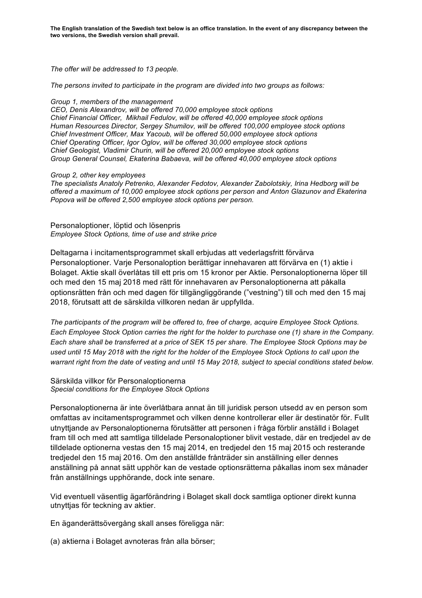**The English translation of the Swedish text below is an office translation. In the event of any discrepancy between the two versions, the Swedish version shall prevail.**

*The offer will be addressed to 13 people.*

*The persons invited to participate in the program are divided into two groups as follows:*

#### *Group 1, members of the management*

*CEO, Denis Alexandrov, will be offered 70,000 employee stock options Chief Financial Officer, Mikhail Fedulov, will be offered 40,000 employee stock options Human Resources Director, Sergey Shumilov, will be offered 100,000 employee stock options Chief Investment Officer, Max Yacoub, will be offered 50,000 employee stock options Chief Operating Officer, Igor Oglov, will be offered 30,000 employee stock options Chief Geologist, Vladimir Churin, will be offered 20,000 employee stock options Group General Counsel, Ekaterina Babaeva, will be offered 40,000 employee stock options*

#### *Group 2, other key employees*

*The specialists Anatoly Petrenko, Alexander Fedotov, Alexander Zabolotskiy, Irina Hedborg will be offered a maximum of 10,000 employee stock options per person and Anton Glazunov and Ekaterina Popova will be offered 2,500 employee stock options per person.*

Personaloptioner, löptid och lösenpris *Employee Stock Options, time of use and strike price*

Deltagarna i incitamentsprogrammet skall erbjudas att vederlagsfritt förvärva Personaloptioner. Varje Personaloption berättigar innehavaren att förvärva en (1) aktie i Bolaget. Aktie skall överlåtas till ett pris om 15 kronor per Aktie. Personaloptionerna löper till och med den 15 maj 2018 med rätt för innehavaren av Personaloptionerna att påkalla optionsrätten från och med dagen för tillgängliggörande ("vestning") till och med den 15 maj 2018, förutsatt att de särskilda villkoren nedan är uppfyllda.

*The participants of the program will be offered to, free of charge, acquire Employee Stock Options. Each Employee Stock Option carries the right for the holder to purchase one (1) share in the Company. Each share shall be transferred at a price of SEK 15 per share. The Employee Stock Options may be used until 15 May 2018 with the right for the holder of the Employee Stock Options to call upon the warrant right from the date of vesting and until 15 May 2018, subject to special conditions stated below.*

### Särskilda villkor för Personaloptionerna *Special conditions for the Employee Stock Options*

Personaloptionerna är inte överlåtbara annat än till juridisk person utsedd av en person som omfattas av incitamentsprogrammet och vilken denne kontrollerar eller är destinatör för. Fullt utnyttjande av Personaloptionerna förutsätter att personen i fråga förblir anställd i Bolaget fram till och med att samtliga tilldelade Personaloptioner blivit vestade, där en tredjedel av de tilldelade optionerna vestas den 15 maj 2014, en tredjedel den 15 maj 2015 och resterande tredjedel den 15 maj 2016. Om den anställde frånträder sin anställning eller dennes anställning på annat sätt upphör kan de vestade optionsrätterna påkallas inom sex månader från anställnings upphörande, dock inte senare.

Vid eventuell väsentlig ägarförändring i Bolaget skall dock samtliga optioner direkt kunna utnyttjas för teckning av aktier.

En äganderättsövergång skall anses föreligga när:

(a) aktierna i Bolaget avnoteras från alla börser;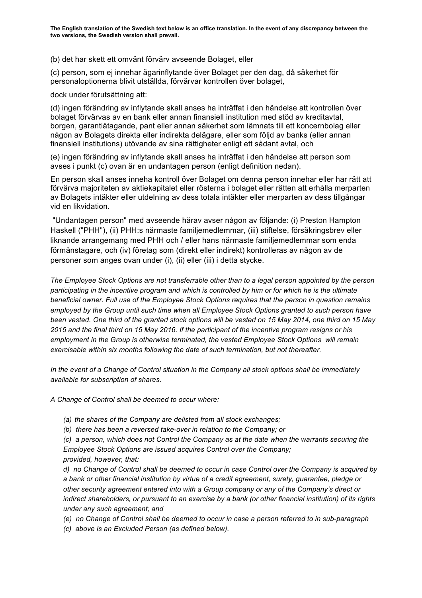(b) det har skett ett omvänt förvärv avseende Bolaget, eller

(c) person, som ej innehar ägarinflytande över Bolaget per den dag, då säkerhet för personaloptionerna blivit utställda, förvärvar kontrollen över bolaget,

dock under förutsättning att:

(d) ingen förändring av inflytande skall anses ha inträffat i den händelse att kontrollen över bolaget förvärvas av en bank eller annan finansiell institution med stöd av kreditavtal, borgen, garantiåtagande, pant eller annan säkerhet som lämnats till ett koncernbolag eller någon av Bolagets direkta eller indirekta delägare, eller som följd av banks (eller annan finansiell institutions) utövande av sina rättigheter enligt ett sådant avtal, och

(e) ingen förändring av inflytande skall anses ha inträffat i den händelse att person som avses i punkt (c) ovan är en undantagen person (enligt definition nedan).

En person skall anses inneha kontroll över Bolaget om denna person innehar eller har rätt att förvärva majoriteten av aktiekapitalet eller rösterna i bolaget eller rätten att erhålla merparten av Bolagets intäkter eller utdelning av dess totala intäkter eller merparten av dess tillgångar vid en likvidation.

"Undantagen person" med avseende härav avser någon av följande: (i) Preston Hampton Haskell ("PHH"), (ii) PHH:s närmaste familjemedlemmar, (iii) stiftelse, försäkringsbrev eller liknande arrangemang med PHH och / eller hans närmaste familjemedlemmar som enda förmånstagare, och (iv) företag som (direkt eller indirekt) kontrolleras av någon av de personer som anges ovan under (i), (ii) eller (iii) i detta stycke.

*The Employee Stock Options are not transferrable other than to a legal person appointed by the person participating in the incentive program and which is controlled by him or for which he is the ultimate beneficial owner. Full use of the Employee Stock Options requires that the person in question remains employed by the Group until such time when all Employee Stock Options granted to such person have been vested. One third of the granted stock options will be vested on 15 May 2014, one third on 15 May 2015 and the final third on 15 May 2016. If the participant of the incentive program resigns or his employment in the Group is otherwise terminated, the vested Employee Stock Options will remain exercisable within six months following the date of such termination, but not thereafter.*

*In the event of a Change of Control situation in the Company all stock options shall be immediately available for subscription of shares.* 

*A Change of Control shall be deemed to occur where:* 

*(a) the shares of the Company are delisted from all stock exchanges;*

*(b) there has been a reversed take-over in relation to the Company; or*

*(c) a person, which does not Control the Company as at the date when the warrants securing the Employee Stock Options are issued acquires Control over the Company; provided, however, that:*

*d) no Change of Control shall be deemed to occur in case Control over the Company is acquired by a bank or other financial institution by virtue of a credit agreement, surety, guarantee, pledge or other security agreement entered into with a Group company or any of the Company's direct or indirect shareholders, or pursuant to an exercise by a bank (or other financial institution) of its rights under any such agreement; and*

*(e) no Change of Control shall be deemed to occur in case a person referred to in sub-paragraph* 

*(c) above is an Excluded Person (as defined below).*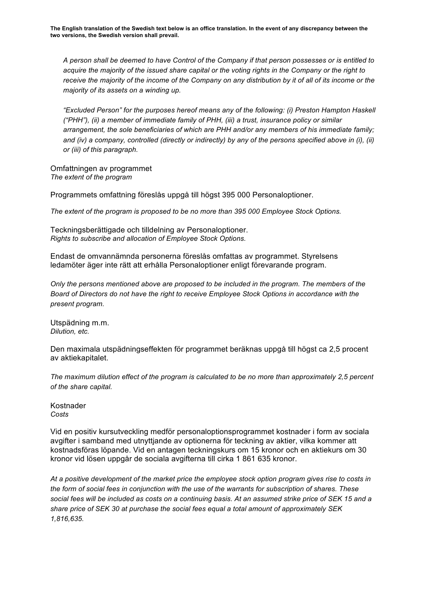*A person shall be deemed to have Control of the Company if that person possesses or is entitled to acquire the majority of the issued share capital or the voting rights in the Company or the right to receive the majority of the income of the Company on any distribution by it of all of its income or the majority of its assets on a winding up.*

*"Excluded Person" for the purposes hereof means any of the following: (i) Preston Hampton Haskell ("PHH"), (ii) a member of immediate family of PHH, (iii) a trust, insurance policy or similar arrangement, the sole beneficiaries of which are PHH and/or any members of his immediate family;*  and (iv) a company, controlled (directly or indirectly) by any of the persons specified above in (i), (ii) *or (iii) of this paragraph.*

Omfattningen av programmet *The extent of the program*

Programmets omfattning föreslås uppgå till högst 395 000 Personaloptioner.

*The extent of the program is proposed to be no more than 395 000 Employee Stock Options.*

Teckningsberättigade och tilldelning av Personaloptioner. *Rights to subscribe and allocation of Employee Stock Options.*

Endast de omvannämnda personerna föreslås omfattas av programmet. Styrelsens ledamöter äger inte rätt att erhålla Personaloptioner enligt förevarande program.

*Only the persons mentioned above are proposed to be included in the program. The members of the Board of Directors do not have the right to receive Employee Stock Options in accordance with the present program.*

Utspädning m.m. *Dilution, etc.*

Den maximala utspädningseffekten för programmet beräknas uppgå till högst ca 2,5 procent av aktiekapitalet.

*The maximum dilution effect of the program is calculated to be no more than approximately 2,5 percent of the share capital.*

Kostnader *Costs*

Vid en positiv kursutveckling medför personaloptionsprogrammet kostnader i form av sociala avgifter i samband med utnyttjande av optionerna för teckning av aktier, vilka kommer att kostnadsföras löpande. Vid en antagen teckningskurs om 15 kronor och en aktiekurs om 30 kronor vid lösen uppgår de sociala avgifterna till cirka 1 861 635 kronor.

*At a positive development of the market price the employee stock option program gives rise to costs in the form of social fees in conjunction with the use of the warrants for subscription of shares. These social fees will be included as costs on a continuing basis. At an assumed strike price of SEK 15 and a share price of SEK 30 at purchase the social fees equal a total amount of approximately SEK 1,816,635.*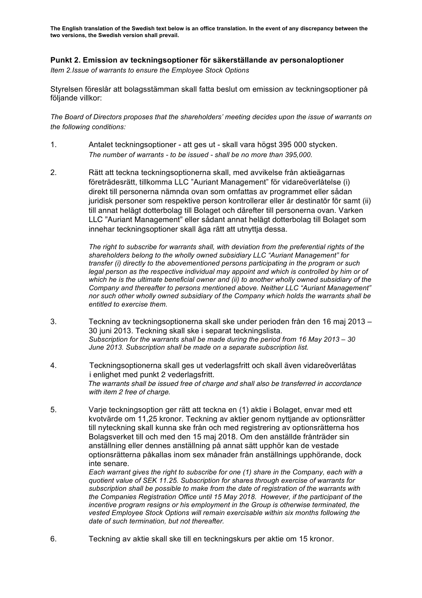**The English translation of the Swedish text below is an office translation. In the event of any discrepancy between the two versions, the Swedish version shall prevail.**

# **Punkt 2. Emission av teckningsoptioner för säkerställande av personaloptioner**

*Item 2.Issue of warrants to ensure the Employee Stock Options*

Styrelsen föreslår att bolagsstämman skall fatta beslut om emission av teckningsoptioner på följande villkor:

*The Board of Directors proposes that the shareholders' meeting decides upon the issue of warrants on the following conditions:*

- 1. Antalet teckningsoptioner att ges ut skall vara högst 395 000 stycken. *The number of warrants - to be issued - shall be no more than 395,000.*
- 2. Rätt att teckna teckningsoptionerna skall, med avvikelse från aktieägarnas företrädesrätt, tillkomma LLC "Auriant Management" för vidareöverlåtelse (i) direkt till personerna nämnda ovan som omfattas av programmet eller sådan juridisk personer som respektive person kontrollerar eller är destinatör för samt (ii) till annat helägt dotterbolag till Bolaget och därefter till personerna ovan. Varken LLC "Auriant Management" eller sådant annat helägt dotterbolag till Bolaget som innehar teckningsoptioner skall äga rätt att utnyttja dessa.

*The right to subscribe for warrants shall, with deviation from the preferential rights of the shareholders belong to the wholly owned subsidiary LLC "Auriant Management" for transfer (i) directly to the abovementioned persons participating in the program or such legal person as the respective individual may appoint and which is controlled by him or of which he is the ultimate beneficial owner and (ii) to another wholly owned subsidiary of the Company and thereafter to persons mentioned above. Neither LLC "Auriant Management" nor such other wholly owned subsidiary of the Company which holds the warrants shall be entitled to exercise them.*

- 3. Teckning av teckningsoptionerna skall ske under perioden från den 16 maj 2013 30 juni 2013. Teckning skall ske i separat teckningslista. *Subscription for the warrants shall be made during the period from 16 May 2013 – 30 June 2013. Subscription shall be made on a separate subscription list.*
- 4. Teckningsoptionerna skall ges ut vederlagsfritt och skall även vidareöverlåtas i enlighet med punkt 2 vederlagsfritt. *The warrants shall be issued free of charge and shall also be transferred in accordance with item 2 free of charge.*
- 5. Varje teckningsoption ger rätt att teckna en (1) aktie i Bolaget, envar med ett kvotvärde om 11,25 kronor. Teckning av aktier genom nyttjande av optionsrätter till nyteckning skall kunna ske från och med registrering av optionsrätterna hos Bolagsverket till och med den 15 maj 2018. Om den anställde frånträder sin anställning eller dennes anställning på annat sätt upphör kan de vestade optionsrätterna påkallas inom sex månader från anställnings upphörande, dock inte senare.

*Each warrant gives the right to subscribe for one (1) share in the Company, each with a quotient value of SEK 11.25. Subscription for shares through exercise of warrants for subscription shall be possible to make from the date of registration of the warrants with the Companies Registration Office until 15 May 2018. However, if the participant of the incentive program resigns or his employment in the Group is otherwise terminated, the vested Employee Stock Options will remain exercisable within six months following the date of such termination, but not thereafter.*

6. Teckning av aktie skall ske till en teckningskurs per aktie om 15 kronor.